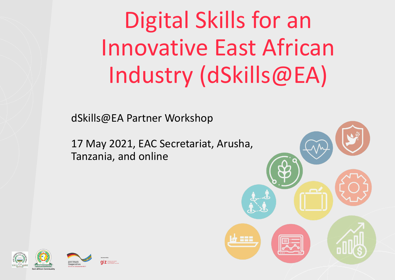Digital Skills for an Innovative East African Industry (dSkills@EA)

dSkills@EA Partner Workshop

17 May 2021, EAC Secretariat, Arusha, Tanzania, and online



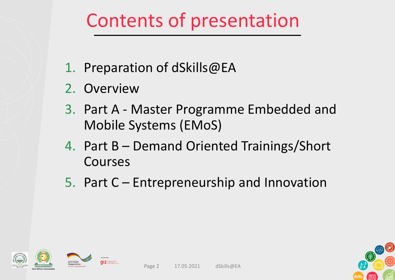## Contents of presentation

- 1. Preparation of dSkills@EA
- 2. Overview
- 3. Part A Master Programme Embedded and Mobile Systems (EMoS)
- 4. Part B Demand Oriented Trainings/Short Courses
- 5. Part C Entrepreneurship and Innovation



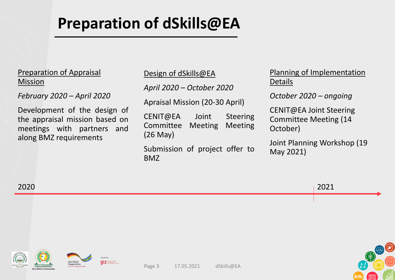### **Preparation of dSkills@EA**

### Preparation of Appraisal Mission

*February 2020 – April 2020*

Development of the design of the appraisal mission based on meetings with partners and along BMZ requirements

Design of dSkills@EA

*April 2020 – October 2020*

Apraisal Mission (20-30 April)

CENIT@EA Joint Steering Committee Meeting Meeting (26 May)

Submission of project offer to BMZ

Planning of Implementation Details

*October 2020 – ongoing*

CENIT@EA Joint Steering Committee Meeting (14 October)

Joint Planning Workshop (19 May 2021)

2020 2021









Page 3 17.05.2021 dSkills@EA

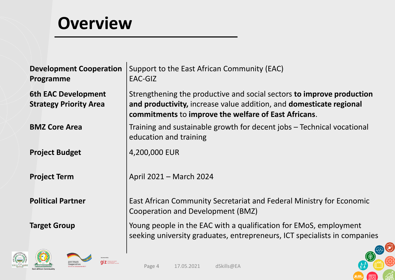### **Overview**

| <b>Development Cooperation</b><br>Programme                 | Support to the East African Community (EAC)<br>EAC-GIZ                                                                                                                                               |
|-------------------------------------------------------------|------------------------------------------------------------------------------------------------------------------------------------------------------------------------------------------------------|
| <b>6th EAC Development</b><br><b>Strategy Priority Area</b> | Strengthening the productive and social sectors to improve production<br>and productivity, increase value addition, and domesticate regional<br>commitments to improve the welfare of East Africans. |
| <b>BMZ Core Area</b>                                        | Training and sustainable growth for decent jobs – Technical vocational<br>education and training                                                                                                     |
| <b>Project Budget</b>                                       | 4,200,000 EUR                                                                                                                                                                                        |
| <b>Project Term</b>                                         | April 2021 - March 2024                                                                                                                                                                              |
| <b>Political Partner</b>                                    | East African Community Secretariat and Federal Ministry for Economic<br>Cooperation and Development (BMZ)                                                                                            |
| <b>Target Group</b>                                         | Young people in the EAC with a qualification for EMoS, employment<br>seeking university graduates, entrepreneurs, ICT specialists in companies                                                       |
| <b>CALLER</b>                                               |                                                                                                                                                                                                      |



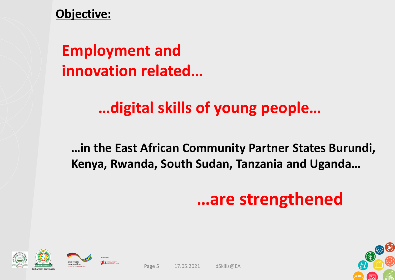### **Objective:**

### **Employment and innovation related…**

### **…digital skills of young people…**

### **…in the East African Community Partner States Burundi, Kenya, Rwanda, South Sudan, Tanzania and Uganda…**

## **…are strengthened**







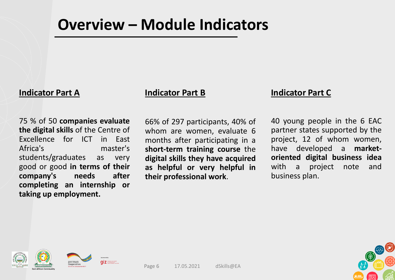### **Overview – Module Indicators**

### **Indicator Part A Indicator Part B Indicator Part C**

75 % of 50 **companies evaluate the digital skills** of the Centre of Excellence for ICT in East Africa's master's students/graduates as very good or good **in terms of their company's needs after completing an internship or taking up employment.**

66% of 297 participants, 40% of whom are women, evaluate 6 months after participating in a **short-term training course** the **digital skills they have acquired as helpful or very helpful in their professional work**.

40 young people in the 6 EAC partner states supported by the project, 12 of whom women, have developed a **marketoriented digital business idea** with a project note and business plan.







Page 6 17.05.2021 dSkills@EA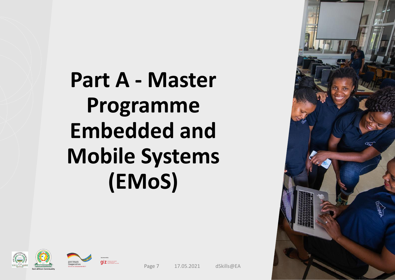# **Part A - Master Programme Embedded and Mobile Systems (EMoS)**







Page 7 17.05.2021 dSkills@EA

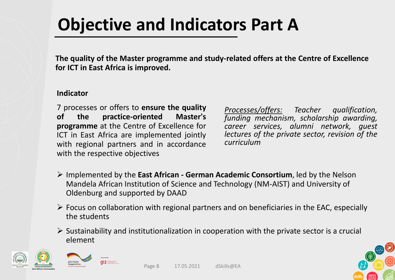## **Objective and Indicators Part A**

**The quality of the Master programme and study-related offers at the Centre of Excellence for ICT in East Africa is improved.**

### **Indicator**

7 processes or offers to **ensure the quality of the practice-oriented Master's programme** at the Centre of Excellence for ICT in East Africa are implemented jointly with regional partners and in accordance with the respective objectives

*Processes/offers: Teacher qualification, funding mechanism, scholarship awarding, career services, alumni network, guest lectures of the private sector, revision of the curriculum*

- ➢ Implemented by the **East African - German Academic Consortium**, led by the Nelson Mandela African Institution of Science and Technology (NM-AIST) and University of Oldenburg and supported by DAAD
- $\triangleright$  Focus on collaboration with regional partners and on beneficiaries in the EAC, especially the students
- $\triangleright$  Sustainability and institutionalization in cooperation with the private sector is a crucial element



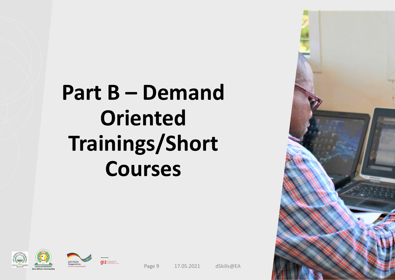# **Part B – Demand Oriented Trainings/Short Courses**





ermar



Page 9 17.05.2021 dSkills@EA



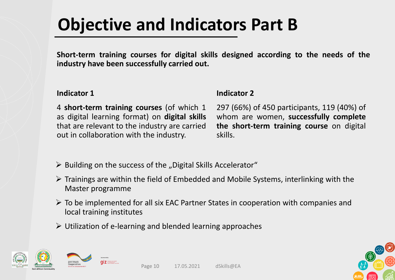## **Objective and Indicators Part B**

**Short-term training courses for digital skills designed according to the needs of the industry have been successfully carried out.**

### **Indicator 1**

**Indicator 2**

4 **short-term training courses** (of which 1 as digital learning format) on **digital skills** that are relevant to the industry are carried out in collaboration with the industry.

297 (66%) of 450 participants, 119 (40%) of whom are women, **successfully complete the short-term training course** on digital skills.

- $\triangleright$  Building on the success of the "Digital Skills Accelerator"
- $\triangleright$  Trainings are within the field of Embedded and Mobile Systems, interlinking with the Master programme
- ➢ To be implemented for all six EAC Partner States in cooperation with companies and local training institutes
- ➢ Utilization of e-learning and blended learning approaches





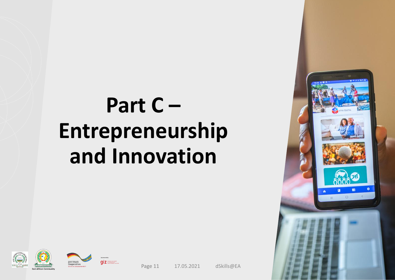# **Part C – Entrepreneurship and Innovation**







Page 11 17.05.2021 dSkills@EA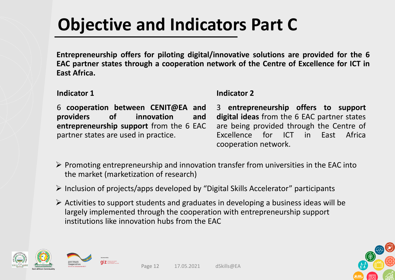## **Objective and Indicators Part C**

**Entrepreneurship offers for piloting digital/innovative solutions are provided for the 6 EAC partner states through a cooperation network of the Centre of Excellence for ICT in East Africa.**

### **Indicator 1**

**Indicator 2**

6 **cooperation between CENIT@EA and providers of innovation and entrepreneurship support** from the 6 EAC partner states are used in practice.

3 **entrepreneurship offers to support digital ideas** from the 6 EAC partner states are being provided through the Centre of Excellence for ICT in East Africa cooperation network.

- $\triangleright$  Promoting entrepreneurship and innovation transfer from universities in the EAC into the market (marketization of research)
- ➢ Inclusion of projects/apps developed by "Digital Skills Accelerator" participants
- $\triangleright$  Activities to support students and graduates in developing a business ideas will be largely implemented through the cooperation with entrepreneurship support institutions like innovation hubs from the EAC